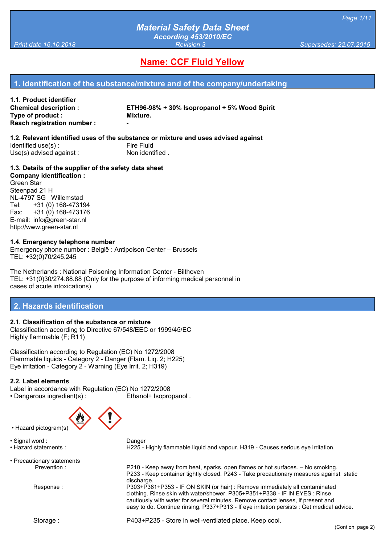# **Name: CCF Fluid Yellow**

### **1. Identification of the substance/mixture and of the company/undertaking**

| 1.1. Product identifier      |                                              |
|------------------------------|----------------------------------------------|
| <b>Chemical description:</b> | ETH96-98% + 30% Isopropanol + 5% Wood Spirit |
| Type of product :            | Mixture.                                     |
| Reach registration number :  | -                                            |

**1.2. Relevant identified uses of the substance or mixture and uses advised against** Identified use(s):<br>
Use(s) advised against:<br>
Use(s) advised against:<br>
The South Mon identified .  $Use(s)$  advised against:

**1.3. Details of the supplier of the safety data sheet Company identification :**

Green Star Steenpad 21 H NL-4797 SG Willemstad Tel: +31 (0) 168-473194 Fax: +31 (0) 168-473176 E-mail: info@green-star.nl http://www.green-star.nl

#### **1.4. Emergency telephone number**

Emergency phone number : België : Antipoison Center – Brussels TEL: +32(0)70/245.245

The Netherlands : National Poisoning Information Center - Bilthoven TEL: +31(0)30/274.88.88 (Only for the purpose of informing medical personnel in cases of acute intoxications)

#### **2. Hazards identification**

#### **2.1. Classification of the substance or mixture**

Classification according to Directive 67/548/EEC or 1999/45/EC Highly flammable (F; R11)

Classification according to Regulation (EC) No 1272/2008 Flammable liquids - Category 2 - Danger (Flam. Liq. 2; H225) Eye irritation - Category 2 - Warning (Eye Irrit. 2; H319)

#### **2.2. Label elements**

Label in accordance with Regulation (EC) No 1272/2008 • Dangerous ingredient(s) : Ethanol+ Isopropanol .



• Hazard pictogram(s)

• Signal word : Danger

• Precautionary statements

• Hazard statements : H225 - Highly flammable liquid and vapour. H319 - Causes serious eye irritation.

Prevention : P210 - Keep away from heat, sparks, open flames or hot surfaces. – No smoking. P233 - Keep container tightly closed. P243 - Take precautionary measures against static discharge. Response : P303+P361+P353 - IF ON SKIN (or hair) : Remove immediately all contaminated clothing. Rinse skin with water/shower. P305+P351+P338 - IF IN EYES : Rinse cautiously with water for several minutes. Remove contact lenses, if present and easy to do. Continue rinsing. P337+P313 - If eye irritation persists : Get medical advice.

Storage : P403+P235 - Store in well-ventilated place. Keep cool.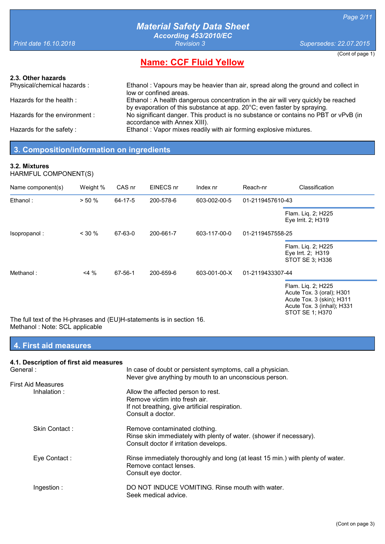(Cont of page 1)

# *Material Safety Data Sheet According 453/2010/EC*

*Print date 16.10.2018 Revision 3 Supersedes: 22.07.2015*

**Name: CCF Fluid Yellow**

#### **2.3. Other hazards**

Physical/chemical hazards : Ethanol : Vapours may be heavier than air, spread along the ground and collect in low or confined areas. Hazards for the health : Ethanol : A health dangerous concentration in the air will very quickly be reached by evaporation of this substance at app. 20°C; even faster by spraying. Hazards for the environment : No significant danger. This product is no substance or contains no PBT or vPvB (in accordance with Annex XIII). Hazards for the safety : Ethanol : Vapor mixes readily with air forming explosive mixtures.

## **3. Composition/information on ingredients**

#### **3.2. Mixtures**

HARMFUL COMPONENT(S)

| Name component(s)                                                    | Weight % | CAS nr  | EINECS nr | Index nr     | Reach-nr         | Classification                                                                                                                |
|----------------------------------------------------------------------|----------|---------|-----------|--------------|------------------|-------------------------------------------------------------------------------------------------------------------------------|
| Ethanol:                                                             | > 50%    | 64-17-5 | 200-578-6 | 603-002-00-5 | 01-2119457610-43 |                                                                                                                               |
|                                                                      |          |         |           |              |                  | Flam. Liq. 2; H225<br>Eye Irrit. 2; H319                                                                                      |
| Isopropanol:                                                         | $<$ 30 % | 67-63-0 | 200-661-7 | 603-117-00-0 | 01-2119457558-25 |                                                                                                                               |
|                                                                      |          |         |           |              |                  | Flam. Liq. 2; H225<br>Eye Irrt. 2; H319<br>STOT SE 3; H336                                                                    |
| Methanol:                                                            | $4\%$    | 67-56-1 | 200-659-6 | 603-001-00-X | 01-2119433307-44 |                                                                                                                               |
| The full text of the H-phrases and (ELNH-statements is in section 16 |          |         |           |              |                  | Flam. Liq. 2; H225<br>Acute Tox. 3 (oral); H301<br>Acute Tox. 3 (skin); H311<br>Acute Tox. 3 (inhal); H331<br>STOT SE 1; H370 |

hrases and (EU)H-statements is in section 16. Methanol : Note: SCL applicable 

## **4. First aid measures**

| 4.1. Description of first aid measures |                                                                                                                                                |
|----------------------------------------|------------------------------------------------------------------------------------------------------------------------------------------------|
| General :                              | In case of doubt or persistent symptoms, call a physician.                                                                                     |
|                                        | Never give anything by mouth to an unconscious person.                                                                                         |
| First Aid Measures                     |                                                                                                                                                |
| Inhalation:                            | Allow the affected person to rest.<br>Remove victim into fresh air.<br>If not breathing, give artificial respiration.<br>Consult a doctor.     |
| Skin Contact:                          | Remove contaminated clothing.<br>Rinse skin immediately with plenty of water. (shower if necessary).<br>Consult doctor if irritation develops. |
| Eye Contact:                           | Rinse immediately thoroughly and long (at least 15 min.) with plenty of water.<br>Remove contact lenses.<br>Consult eye doctor.                |
| Ingestion:                             | DO NOT INDUCE VOMITING. Rinse mouth with water.<br>Seek medical advice.                                                                        |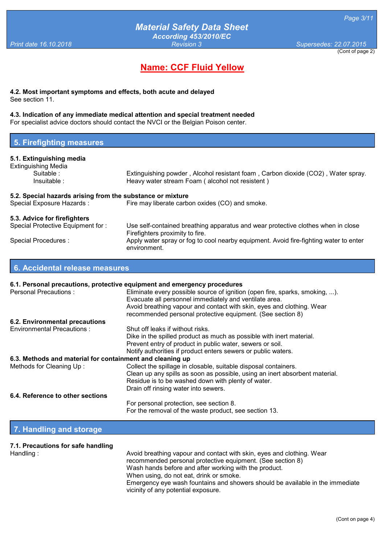(Cont of page 2) *Print date 16.10.2018 Revision 3 Supersedes: 22.07.2015*

# **Name: CCF Fluid Yellow**

**4.2. Most important symptoms and effects, both acute and delayed** See section 11.

#### **4.3. Indication of any immediate medical attention and special treatment needed**

environment.

For specialist advice doctors should contact the NVCI or the Belgian Poison center.

|  | 5. Firefighting measures |
|--|--------------------------|
|  |                          |

#### **5.1. Extinguishing media** Extinguishing Media<br>Suitable: Extinguishing powder, Alcohol resistant foam, Carbon dioxide (CO2), Water spray.

| Insuitable :                                               | Heavy water stream Foam (alcohol not resistent)                                                                     |
|------------------------------------------------------------|---------------------------------------------------------------------------------------------------------------------|
| 5.2. Special hazards arising from the substance or mixture |                                                                                                                     |
| Special Exposure Hazards:                                  | Fire may liberate carbon oxides (CO) and smoke.                                                                     |
| 5.3. Advice for firefighters                               |                                                                                                                     |
| Special Protective Equipment for:                          | Use self-contained breathing apparatus and wear protective clothes when in close<br>Firefighters proximity to fire. |
| Special Procedures :                                       | Apply water spray or fog to cool nearby equipment. Avoid fire-fighting water to enter                               |

#### **6. Accidental release measures**

|                                                           | 6.1. Personal precautions, protective equipment and emergency procedures                                                              |
|-----------------------------------------------------------|---------------------------------------------------------------------------------------------------------------------------------------|
| <b>Personal Precautions:</b>                              | Eliminate every possible source of ignition (open fire, sparks, smoking, ).<br>Evacuate all personnel immediately and ventilate area. |
|                                                           | Avoid breathing vapour and contact with skin, eyes and clothing. Wear<br>recommended personal protective equipment. (See section 8)   |
| 6.2. Environmental precautions                            |                                                                                                                                       |
| <b>Environmental Precautions:</b>                         | Shut off leaks if without risks.                                                                                                      |
|                                                           | Dike in the spilled product as much as possible with inert material.                                                                  |
|                                                           | Prevent entry of product in public water, sewers or soil.                                                                             |
|                                                           | Notify authorities if product enters sewers or public waters.                                                                         |
| 6.3. Methods and material for containment and cleaning up |                                                                                                                                       |
| Methods for Cleaning Up:                                  | Collect the spillage in closable, suitable disposal containers.                                                                       |
|                                                           | Clean up any spills as soon as possible, using an inert absorbent material.                                                           |
|                                                           | Residue is to be washed down with plenty of water.                                                                                    |
|                                                           | Drain off rinsing water into sewers.                                                                                                  |
| 6.4. Reference to other sections                          |                                                                                                                                       |
|                                                           | For personal protection, see section 8.                                                                                               |
|                                                           | For the removal of the waste product, see section 13.                                                                                 |

### **7. Handling and storage**

# **7.1. Precautions for safe handling**

Handling : **Avoid breathing vapour and contact with skin, eyes and clothing. Wear** recommended personal protective equipment. (See section 8) Wash hands before and after working with the product. When using, do not eat, drink or smoke. Emergency eye wash fountains and showers should be available in the immediate vicinity of any potential exposure.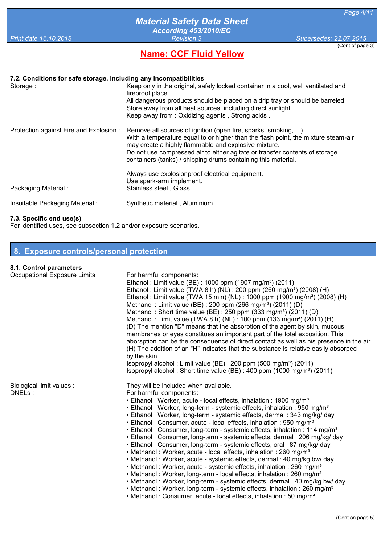# **Name: CCF Fluid Yellow**

#### (Cont of page 3)

| 7.2. Conditions for safe storage, including any incompatibilities |                                                                                                                                                                                                                                                                                                                                                             |
|-------------------------------------------------------------------|-------------------------------------------------------------------------------------------------------------------------------------------------------------------------------------------------------------------------------------------------------------------------------------------------------------------------------------------------------------|
| Storage:                                                          | Keep only in the original, safely locked container in a cool, well ventilated and<br>fireproof place.<br>All dangerous products should be placed on a drip tray or should be barreled.<br>Store away from all heat sources, including direct sunlight.<br>Keep away from: Oxidizing agents, Strong acids.                                                   |
| Protection against Fire and Explosion :                           | Remove all sources of ignition (open fire, sparks, smoking, ).<br>With a temperature equal to or higher than the flash point, the mixture steam-air<br>may create a highly flammable and explosive mixture.<br>Do not use compressed air to either agitate or transfer contents of storage<br>containers (tanks) / shipping drums containing this material. |
| Packaging Material:                                               | Always use explosionproof electrical equipment.<br>Use spark-arm implement.<br>Stainless steel, Glass.                                                                                                                                                                                                                                                      |
| Insuitable Packaging Material:                                    | Synthetic material, Aluminium.                                                                                                                                                                                                                                                                                                                              |

#### **7.3. Specific end use(s)**

For identified uses, see subsection 1.2 and/or exposure scenarios.

|  |  | 8. Exposure controls/personal protection |  |
|--|--|------------------------------------------|--|
|  |  |                                          |  |

# **8.1. Control parameters**

| <b>o.1. Control parameters</b>      |                                                                                                                                                                                                                                                                                                                                                                                                                                                                                                                                                                                                                                                                                                                                                                                                                                                                                                                                                                                                                                                                                                                                                                                                                                          |
|-------------------------------------|------------------------------------------------------------------------------------------------------------------------------------------------------------------------------------------------------------------------------------------------------------------------------------------------------------------------------------------------------------------------------------------------------------------------------------------------------------------------------------------------------------------------------------------------------------------------------------------------------------------------------------------------------------------------------------------------------------------------------------------------------------------------------------------------------------------------------------------------------------------------------------------------------------------------------------------------------------------------------------------------------------------------------------------------------------------------------------------------------------------------------------------------------------------------------------------------------------------------------------------|
| Occupational Exposure Limits :      | For harmful components:<br>Ethanol: Limit value (BE): 1000 ppm (1907 mg/m <sup>3</sup> ) (2011)<br>Ethanol: Limit value (TWA 8 h) (NL): 200 ppm (260 mg/m <sup>3</sup> ) (2008) (H)<br>Ethanol: Limit value (TWA 15 min) (NL): 1000 ppm (1900 mg/m <sup>3</sup> ) (2008) (H)<br>Methanol: Limit value (BE): 200 ppm (266 mg/m <sup>3</sup> ) (2011) (D)<br>Methanol: Short time value (BE): 250 ppm $(333 \text{ mg/m}^3)$ $(2011)$ (D)<br>Methanol: Limit value (TWA 8 h) (NL): 100 ppm (133 mg/m <sup>3</sup> ) (2011) (H)<br>(D) The mention "D" means that the absorption of the agent by skin, mucous<br>membranes or eyes constitues an important part of the total exposition. This<br>aborsption can be the consequence of direct contact as well as his presence in the air.<br>(H) The addition of an "H" indicates that the substance is relative easily absorped<br>by the skin.<br>Isopropyl alcohol: Limit value (BE): 200 ppm (500 mg/m <sup>3</sup> ) (2011)<br>Isopropyl alcohol: Short time value (BE): $400$ ppm (1000 mg/m <sup>3</sup> ) (2011)                                                                                                                                                                     |
| Biological limit values :<br>DNELs: | They will be included when available.<br>For harmful components:<br>• Ethanol: Worker, acute - local effects, inhalation: 1900 mg/m <sup>3</sup><br>• Ethanol: Worker, long-term - systemic effects, inhalation: 950 mg/m <sup>3</sup><br>• Ethanol: Worker, long-term - systemic effects, dermal: 343 mg/kg/ day<br>• Ethanol: Consumer, acute - local effects, inhalation: 950 mg/m <sup>3</sup><br>• Ethanol: Consumer, long-term - systemic effects, inhalation: 114 mg/m <sup>3</sup><br>• Ethanol: Consumer, long-term - systemic effects, dermal: 206 mg/kg/ day<br>• Ethanol: Consumer, long-term - systemic effects, oral: 87 mg/kg/ day<br>• Methanol: Worker, acute - local effects, inhalation: 260 mg/m <sup>3</sup><br>• Methanol: Worker, acute - systemic effects, dermal: 40 mg/kg bw/ day<br>• Methanol: Worker, acute - systemic effects, inhalation: 260 mg/m <sup>3</sup><br>• Methanol: Worker, long-term - local effects, inhalation: 260 mg/m <sup>3</sup><br>• Methanol: Worker, long-term - systemic effects, dermal: 40 mg/kg bw/ day<br>• Methanol: Worker, long-term - systemic effects, inhalation: 260 mg/m <sup>3</sup><br>• Methanol: Consumer, acute - local effects, inhalation: 50 mg/m <sup>3</sup> |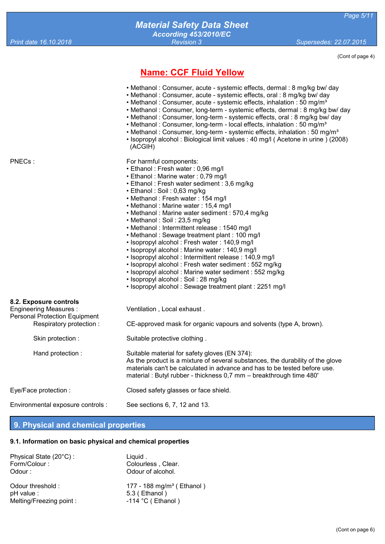(Cont of page 4)

# **Name: CCF Fluid Yellow**

- Methanol : Consumer, acute systemic effects, dermal : 8 mg/kg bw/ day
- Methanol : Consumer, acute systemic effects, oral : 8 mg/kg bw/ day
- Methanol : Consumer, acute systemic effects, inhalation : 50 mg/m<sup>3</sup>
- Methanol : Consumer, long-term systemic effects, dermal : 8 mg/kg bw/ day
- Methanol : Consumer, long-term systemic effects, oral : 8 mg/kg bw/ day
- Methanol : Consumer, long-term local effects, inhalation : 50 mg/m<sup>3</sup>
- Methanol : Consumer, long-term systemic effects, inhalation : 50 mg/m<sup>3</sup>
- Isopropyl alcohol : Biological limit values : 40 mg/l ( Acetone in urine ) (2008) (ACGIH)

PNECs : For harmful components:

- Ethanol : Fresh water : 0,96 mg/l
- Ethanol : Marine water : 0,79 mg/l
- Ethanol : Fresh water sediment : 3,6 mg/kg
- Ethanol : Soil : 0,63 mg/kg
- Methanol : Fresh water : 154 mg/l
- Methanol : Marine water : 15,4 mg/l
- Methanol : Marine water sediment : 570,4 mg/kg
- Methanol : Soil : 23,5 mg/kg
- Methanol : Intermittent release : 1540 mg/l
- Methanol : Sewage treatment plant : 100 mg/l
- Isopropyl alcohol : Fresh water : 140,9 mg/l
- Isopropyl alcohol : Marine water : 140,9 mg/l
- Isopropyl alcohol : Intermittent release : 140,9 mg/l
- Isopropyl alcohol : Fresh water sediment : 552 mg/kg
- Isopropyl alcohol : Marine water sediment : 552 mg/kg
- Isopropyl alcohol : Soil : 28 mg/kg
- Isopropyl alcohol : Sewage treatment plant : 2251 mg/l

#### **8.2. Exposure controls**

| <b>Engineering Measures:</b><br><b>Personal Protection Equipment</b> | Ventilation, Local exhaust.                                                                                                                                                                                                                                                        |  |
|----------------------------------------------------------------------|------------------------------------------------------------------------------------------------------------------------------------------------------------------------------------------------------------------------------------------------------------------------------------|--|
| Respiratory protection:                                              | CE-approved mask for organic vapours and solvents (type A, brown).                                                                                                                                                                                                                 |  |
| Skin protection :                                                    | Suitable protective clothing.                                                                                                                                                                                                                                                      |  |
| Hand protection:                                                     | Suitable material for safety gloves (EN 374):<br>As the product is a mixture of several substances, the durability of the glove<br>materials can't be calculated in advance and has to be tested before use.<br>material: Butyl rubber - thickness 0,7 mm – breakthrough time 480' |  |
| Eye/Face protection :                                                | Closed safety glasses or face shield.                                                                                                                                                                                                                                              |  |

Environmental exposure controls : See sections 6, 7, 12 and 13.

#### **9. Physical and chemical properties**

#### **9.1. Information on basic physical and chemical properties**

| Physical State (20°C):  | Liquid.                               |
|-------------------------|---------------------------------------|
| Form/Colour:            | Colourless, Clear.                    |
| Odour:                  | Odour of alcohol.                     |
| Odour threshold:        | 177 - 188 mg/m <sup>3</sup> (Ethanol) |
| pH value :              | $5.3$ (Ethanol)                       |
| Melting/Freezing point: | $-114$ °C (Ethanol)                   |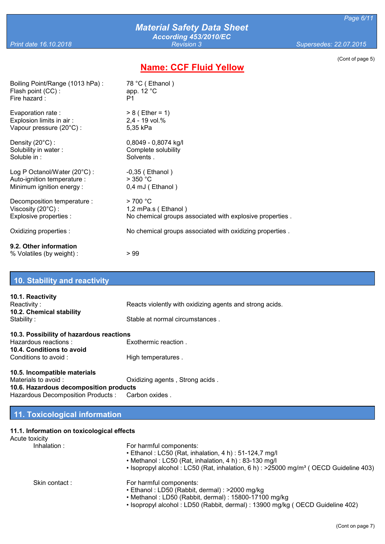# **Name: CCF Fluid Yellow**

(Cont of page 5)

| Boiling Point/Range (1013 hPa):                     | 78 °C (Ethanol)                                          |
|-----------------------------------------------------|----------------------------------------------------------|
| Flash point (CC):                                   | app. $12 °C$                                             |
| Fire hazard:                                        | P <sub>1</sub>                                           |
| Evaporation rate:                                   | $> 8$ (Ether = 1)                                        |
| Explosion limits in air:                            | 2,4 - 19 vol.%                                           |
| Vapour pressure (20°C) :                            | 5,35 kPa                                                 |
| Density $(20^{\circ}C)$ :                           | 0,8049 - 0,8074 kg/l                                     |
| Solubility in water:                                | Complete solubility                                      |
| Soluble in :                                        | Solvents.                                                |
| Log P Octanol/Water $(20^{\circ}C)$ :               | $-0,35$ (Ethanol)                                        |
| Auto-ignition temperature :                         | $>$ 350 °C                                               |
| Minimum ignition energy:                            | 0,4 mJ (Ethanol)                                         |
| Decomposition temperature :                         | >700 °C                                                  |
| Viscosity $(20^{\circ}C)$ :                         | 1,2 mPa.s (Ethanol)                                      |
| Explosive properties :                              | No chemical groups associated with explosive properties. |
| Oxidizing properties :                              | No chemical groups associated with oxidizing properties. |
| 9.2. Other information<br>% Volatiles (by weight) : | > 99                                                     |

# **10. Stability and reactivity**

| 10.1. Reactivity                         |                                                          |
|------------------------------------------|----------------------------------------------------------|
| Reactivity:                              | Reacts violently with oxidizing agents and strong acids. |
| 10.2. Chemical stability                 |                                                          |
| Stability:                               | Stable at normal circumstances.                          |
| 10.3. Possibility of hazardous reactions |                                                          |
| Hazardous reactions :                    | Exothermic reaction.                                     |
| 10.4. Conditions to avoid                |                                                          |
| Conditions to avoid:                     | High temperatures.                                       |
| 10.5. Incompatible materials             |                                                          |
| Materials to avoid:                      | Oxidizing agents, Strong acids.                          |
| 10.6. Hazardous decomposition products   |                                                          |
| Hazardous Decomposition Products :       | Carbon oxides                                            |

# **11. Toxicological information**

# **11.1. Information on toxicological effects**

| 11.1. Information on toxicological effects |                                                                                                                                                                                                                                               |
|--------------------------------------------|-----------------------------------------------------------------------------------------------------------------------------------------------------------------------------------------------------------------------------------------------|
| Acute toxicity                             |                                                                                                                                                                                                                                               |
| Inhalation:                                | For harmful components:<br>• Ethanol: LC50 (Rat, inhalation, 4 h): 51-124,7 mg/l<br>• Methanol: LC50 (Rat, inhalation, 4 h): 83-130 mg/l<br>• Isopropyl alcohol : LC50 (Rat, inhalation, 6 h) : >25000 mg/m <sup>3</sup> (OECD Guideline 403) |
| Skin contact:                              | For harmful components:<br>• Ethanol: LD50 (Rabbit, dermal): >2000 mg/kg<br>• Methanol: LD50 (Rabbit, dermal): 15800-17100 mg/kg                                                                                                              |

• Isopropyl alcohol : LD50 (Rabbit, dermal) : 13900 mg/kg ( OECD Guideline 402)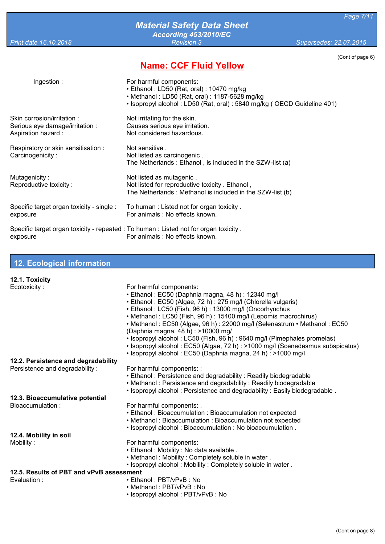# *Material Safety Data Sheet According 453/2010/EC*

*Print date 16.10.2018 Revision 3 Supersedes: 22.07.2015*

(Cont of page 6)

# **Name: CCF Fluid Yellow**

| Ingestion:                                                                          | For harmful components:<br>• Ethanol: LD50 (Rat, oral): 10470 mg/kg<br>• Methanol: LD50 (Rat, oral): 1187-5628 mg/kg<br>· Isopropyl alcohol: LD50 (Rat, oral): 5840 mg/kg (OECD Guideline 401) |
|-------------------------------------------------------------------------------------|------------------------------------------------------------------------------------------------------------------------------------------------------------------------------------------------|
| Skin corrosion/irritation:<br>Serious eye damage/irritation :<br>Aspiration hazard: | Not irritating for the skin.<br>Causes serious eye irritation.<br>Not considered hazardous.                                                                                                    |
| Respiratory or skin sensitisation :<br>Carcinogenicity:                             | Not sensitive.<br>Not listed as carcinogenic.<br>The Netherlands: Ethanol, is included in the SZW-list (a)                                                                                     |
| Mutagenicity:<br>Reproductive toxicity:                                             | Not listed as mutagenic.<br>Not listed for reproductive toxicity. Ethanol,<br>The Netherlands: Methanol is included in the SZW-list (b)                                                        |
| Specific target organ toxicity - single :<br>exposure                               | To human: Listed not for organ toxicity.<br>For animals : No effects known.                                                                                                                    |
| exposure                                                                            | Specific target organ toxicity - repeated : To human : Listed not for organ toxicity.<br>For animals : No effects known.                                                                       |

# **12. Ecological information**

| 12.1. Toxicity                           |                                                                                                                |
|------------------------------------------|----------------------------------------------------------------------------------------------------------------|
| Ecotoxicity:                             | For harmful components:                                                                                        |
|                                          | • Ethanol: EC50 (Daphnia magna, 48 h): 12340 mg/l                                                              |
|                                          | • Ethanol: EC50 (Algae, 72 h): 275 mg/l (Chlorella vulgaris)                                                   |
|                                          | • Ethanol: LC50 (Fish, 96 h): 13000 mg/l (Oncorhynchus                                                         |
|                                          | • Methanol: LC50 (Fish, 96 h): 15400 mg/l (Lepomis macrochirus)                                                |
|                                          | • Methanol: EC50 (Algae, 96 h): 22000 mg/l (Selenastrum • Methanol: EC50<br>(Daphnia magna, 48 h) : >10000 mg/ |
|                                          | · Isopropyl alcohol: LC50 (Fish, 96 h): 9640 mg/l (Pimephales promelas)                                        |
|                                          | • Isopropyl alcohol : EC50 (Algae, 72 h) : >1000 mg/l (Scenedesmus subspicatus)                                |
|                                          | • Isopropyl alcohol: EC50 (Daphnia magna, 24 h): >1000 mg/l                                                    |
| 12.2. Persistence and degradability      |                                                                                                                |
| Persistence and degradability:           | For harmful components: :                                                                                      |
|                                          | • Ethanol: Persistence and degradability: Readily biodegradable                                                |
|                                          | • Methanol: Persistence and degradability: Readily biodegradable                                               |
|                                          | . Isopropyl alcohol: Persistence and degradability: Easily biodegradable.                                      |
| 12.3. Bioaccumulative potential          |                                                                                                                |
| Bioaccumulation:                         | For harmful components: .                                                                                      |
|                                          | • Ethanol: Bioaccumulation: Bioaccumulation not expected                                                       |
|                                          | • Methanol: Bioaccumulation: Bioaccumulation not expected                                                      |
|                                          | . Isopropyl alcohol: Bioaccumulation: No bioaccumulation .                                                     |
| 12.4. Mobility in soil                   |                                                                                                                |
| Mobility:                                | For harmful components:                                                                                        |
|                                          | · Ethanol: Mobility: No data available.                                                                        |
|                                          | . Methanol: Mobility: Completely soluble in water.                                                             |
|                                          | . Isopropyl alcohol: Mobility: Completely soluble in water.                                                    |
| 12.5. Results of PBT and vPvB assessment |                                                                                                                |
| Evaluation:                              | • Ethanol: PBT/vPvB: No                                                                                        |
|                                          | • Methanol: PBT/vPvB: No                                                                                       |
|                                          | • Isopropyl alcohol: PBT/vPvB: No                                                                              |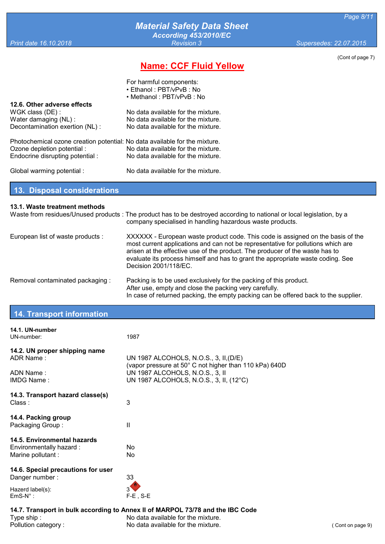# **Name: CCF Fluid Yellow**

| (Cont of page 7) |  |
|------------------|--|
|------------------|--|

|                                                                            | For harmful components:            |
|----------------------------------------------------------------------------|------------------------------------|
|                                                                            | • Ethanol: PBT/vPvB: No            |
|                                                                            | • Methanol: PBT/vPvB: No           |
| 12.6. Other adverse effects                                                |                                    |
| WGK class (DE):                                                            | No data available for the mixture. |
| Water damaging (NL):                                                       | No data available for the mixture. |
| Decontamination exertion (NL) :                                            | No data available for the mixture. |
| Photochemical ozone creation potential: No data available for the mixture. |                                    |
| Ozone depletion potential :                                                | No data available for the mixture. |
| Endocrine disrupting potential :                                           | No data available for the mixture. |
| Global warming potential :                                                 | No data available for the mixture. |

**13. Disposal considerations**

#### **13.1. Waste treatment methods**

|                                   | Waste from residues/Unused products: The product has to be destroyed according to national or local legislation, by a<br>company specialised in handling hazardous waste products.                                                                                                                                                                              |
|-----------------------------------|-----------------------------------------------------------------------------------------------------------------------------------------------------------------------------------------------------------------------------------------------------------------------------------------------------------------------------------------------------------------|
| European list of waste products : | XXXXXX - European waste product code. This code is assigned on the basis of the<br>most current applications and can not be representative for pollutions which are<br>arisen at the effective use of the product. The producer of the waste has to<br>evaluate its process himself and has to grant the appropriate waste coding. See<br>Decision 2001/118/EC. |
| Removal contaminated packaging:   | Packing is to be used exclusively for the packing of this product.<br>After use, empty and close the packing very carefully.<br>In case of returned packing, the empty packing can be offered back to the supplier.                                                                                                                                             |

# **14. Transport information**

| 14.1. UN-number<br>UN-number:                                                 | 1987                                                                                             |
|-------------------------------------------------------------------------------|--------------------------------------------------------------------------------------------------|
| 14.2. UN proper shipping name<br>ADR Name:                                    | UN 1987 ALCOHOLS, N.O.S., 3, II, (D/E)<br>(vapor pressure at 50° C not higher than 110 kPa) 640D |
| ADN Name:<br><b>IMDG Name:</b>                                                | UN 1987 ALCOHOLS, N.O.S., 3, II<br>UN 1987 ALCOHOLS, N.O.S., 3, II, (12°C)                       |
| 14.3. Transport hazard classe(s)<br>Class:                                    | 3                                                                                                |
| 14.4. Packing group<br>Packaging Group:                                       | $\mathbf{H}$                                                                                     |
| 14.5. Environmental hazards<br>Environmentally hazard :<br>Marine pollutant : | No.<br>No.                                                                                       |
| 14.6. Special precautions for user<br>Danger number:                          | 33                                                                                               |
| Hazerd label(s):<br>$EmS-N^{\circ}$ :                                         | $F-E$ , S-E                                                                                      |

| 14.7. Transport in bulk according to Annex II of MARPOL 73/78 and the IBC Code |                                    |                  |
|--------------------------------------------------------------------------------|------------------------------------|------------------|
| Type ship :                                                                    | No data available for the mixture. |                  |
| Pollution category:                                                            | No data available for the mixture. | (Cont on page 9) |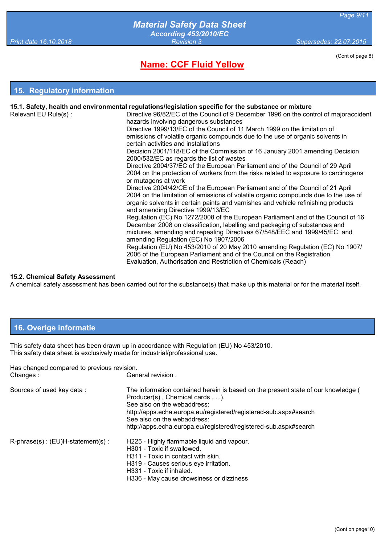**Name: CCF Fluid Yellow**

(Cont of page 8)

#### **15. Regulatory information**

|                      | 15.1. Safety, health and environmental regulations/legislation specific for the substance or mixture                                                                                                          |
|----------------------|---------------------------------------------------------------------------------------------------------------------------------------------------------------------------------------------------------------|
| Relevant EU Rule(s): | Directive 96/82/EC of the Council of 9 December 1996 on the control of majoraccident                                                                                                                          |
|                      | hazards involving dangerous substances                                                                                                                                                                        |
|                      | Directive 1999/13/EC of the Council of 11 March 1999 on the limitation of                                                                                                                                     |
|                      | emissions of volatile organic compounds due to the use of organic solvents in                                                                                                                                 |
|                      | certain activities and installations                                                                                                                                                                          |
|                      | Decision 2001/118/EC of the Commission of 16 January 2001 amending Decision<br>2000/532/EC as regards the list of wastes                                                                                      |
|                      | Directive 2004/37/EC of the European Parliament and of the Council of 29 April                                                                                                                                |
|                      | 2004 on the protection of workers from the risks related to exposure to carcinogens<br>or mutagens at work                                                                                                    |
|                      | Directive 2004/42/CE of the European Parliament and of the Council of 21 April                                                                                                                                |
|                      | 2004 on the limitation of emissions of volatile organic compounds due to the use of<br>organic solvents in certain paints and varnishes and vehicle refinishing products<br>and amending Directive 1999/13/EC |
|                      | Regulation (EC) No 1272/2008 of the European Parliament and of the Council of 16<br>December 2008 on classification, labelling and packaging of substances and                                                |
|                      | mixtures, amending and repealing Directives 67/548/EEC and 1999/45/EC, and<br>amending Regulation (EC) No 1907/2006                                                                                           |
|                      | Regulation (EU) No 453/2010 of 20 May 2010 amending Regulation (EC) No 1907/                                                                                                                                  |
|                      | 2006 of the European Parliament and of the Council on the Registration,                                                                                                                                       |
|                      | Evaluation, Authorisation and Restriction of Chemicals (Reach)                                                                                                                                                |

#### **15.2. Chemical Safety Assessment**

A chemical safety assessment has been carried out for the substance(s) that make up this material or for the material itself.

## **16. Overige informatie**

This safety data sheet has been drawn up in accordance with Regulation (EU) No 453/2010. This safety data sheet is exclusively made for industrial/professional use.

| Has changed compared to previous revision. |                                                                                                                                                                                                                                                                                                                            |  |
|--------------------------------------------|----------------------------------------------------------------------------------------------------------------------------------------------------------------------------------------------------------------------------------------------------------------------------------------------------------------------------|--|
| Changes:                                   | General revision.                                                                                                                                                                                                                                                                                                          |  |
| Sources of used key data:                  | The information contained herein is based on the present state of our knowledge (<br>Producer(s), Chemical cards, ).<br>See also on the webaddress:<br>http://apps.echa.europa.eu/registered/registered-sub.aspx#search<br>See also on the webaddress:<br>http://apps.echa.europa.eu/registered/registered-sub.aspx#search |  |
| $R$ -phrase(s): $(EU)H$ -statement(s):     | H225 - Highly flammable liquid and vapour.<br>H301 - Toxic if swallowed.<br>H311 - Toxic in contact with skin.<br>H319 - Causes serious eve irritation.<br>H331 - Toxic if inhaled.<br>H336 - May cause drowsiness or dizziness                                                                                            |  |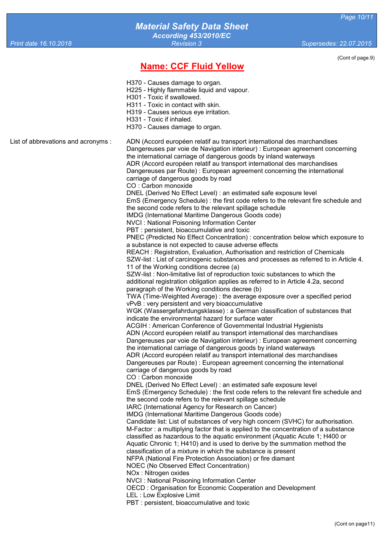# *Material Safety Data Sheet According 453/2010/EC*

*Print date 16.10.2018 Revision 3 Supersedes: 22.07.2015*

# **Name: CCF Fluid Yellow**

(Cont of page.9)

- H370 Causes damage to organ.
- H225 Highly flammable liquid and vapour.
- H301 Toxic if swallowed.
- H311 Toxic in contact with skin.
- H319 Causes serious eye irritation.
- H331 Toxic if inhaled.
- H370 Causes damage to organ.

List of abbrevations and acronyms : ADN (Accord européen relatif au transport international des marchandises Dangereuses par voie de Navigation interieur) : European agreement concerning the international carriage of dangerous goods by inland waterways ADR (Accord européen relatif au transport international des marchandises Dangereuses par Route) : European agreement concerning the international carriage of dangerous goods by road CO : Carbon monoxide DNEL (Derived No Effect Level) : an estimated safe exposure level EmS (Emergency Schedule) : the first code refers to the relevant fire schedule and the second code refers to the relevant spillage schedule IMDG (International Maritime Dangerous Goods code) NVCI : National Poisoning Information Center PBT : persistent, bioaccumulative and toxic PNEC (Predicted No Effect Concentration) : concentration below which exposure to a substance is not expected to cause adverse effects REACH : Registration, Evaluation, Authorisation and restriction of Chemicals SZW-list : List of carcinogenic substances and processes as referred to in Article 4. 11 of the Working conditions decree (a) SZW-list : Non-limitative list of reproduction toxic substances to which the additional registration obligation applies as referred to in Article 4.2a, second paragraph of the Working conditions decree (b) TWA (Time-Weighted Average) : the average exposure over a specified period vPvB : very persistent and very bioaccumulative WGK (Wassergefahrdungsklasse) : a German classification of substances that indicate the environmental hazard for surface water ACGIH : American Conference of Governmental Industrial Hygienists ADN (Accord européen relatif au transport international des marchandises Dangereuses par voie de Navigation interieur) : European agreement concerning the international carriage of dangerous goods by inland waterways ADR (Accord européen relatif au transport international des marchandises Dangereuses par Route) : European agreement concerning the international carriage of dangerous goods by road CO : Carbon monoxide DNEL (Derived No Effect Level) : an estimated safe exposure level EmS (Emergency Schedule) : the first code refers to the relevant fire schedule and the second code refers to the relevant spillage schedule IARC (International Agency for Research on Cancer) IMDG (International Maritime Dangerous Goods code) Candidate list: List of substances of very high concern (SVHC) for authorisation. M-Factor : a multiplying factor that is applied to the concentration of a substance classified as hazardous to the aquatic environment (Aquatic Acute 1; H400 or Aquatic Chronic 1; H410) and is used to derive by the summation method the classification of a mixture in which the substance is present NFPA (National Fire Protection Association) or fire diamant NOEC (No Observed Effect Concentration) NOx : Nitrogen oxides NVCI : National Poisoning Information Center OECD : Organisation for Economic Cooperation and Development LEL : Low Explosive Limit PBT : persistent, bioaccumulative and toxic